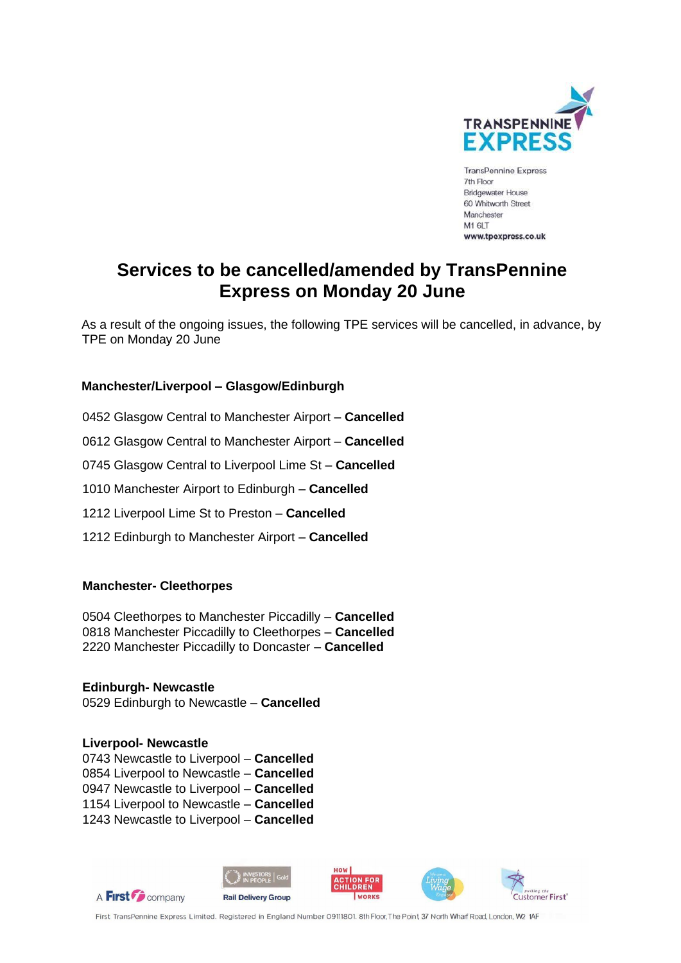

**TransPennine Express** 7th Floor **Bridgewater House** 60 Whitworth Street Manchester M1 6LT www.tpexpress.co.uk

# **Services to be cancelled/amended by TransPennine Express on Monday 20 June**

As a result of the ongoing issues, the following TPE services will be cancelled, in advance, by TPE on Monday 20 June

## **Manchester/Liverpool – Glasgow/Edinburgh**

0452 Glasgow Central to Manchester Airport – **Cancelled**  0612 Glasgow Central to Manchester Airport – **Cancelled** 0745 Glasgow Central to Liverpool Lime St – **Cancelled**  1010 Manchester Airport to Edinburgh – **Cancelled**  1212 Liverpool Lime St to Preston – **Cancelled**  1212 Edinburgh to Manchester Airport – **Cancelled** 

## **Manchester- Cleethorpes**

0504 Cleethorpes to Manchester Piccadilly – **Cancelled**  0818 Manchester Piccadilly to Cleethorpes – **Cancelled** 2220 Manchester Piccadilly to Doncaster – **Cancelled**

**Edinburgh- Newcastle** 0529 Edinburgh to Newcastle – **Cancelled** 

#### **Liverpool- Newcastle**

0743 Newcastle to Liverpool – **Cancelled**  0854 Liverpool to Newcastle – **Cancelled**  0947 Newcastle to Liverpool – **Cancelled**  1154 Liverpool to Newcastle – **Cancelled** 1243 Newcastle to Liverpool – **Cancelled** 



First TransPennine Express Limited. Registered in England Number 09111801. 8th Floor, The Point, 37 North Wharf Road, London, W2 1AF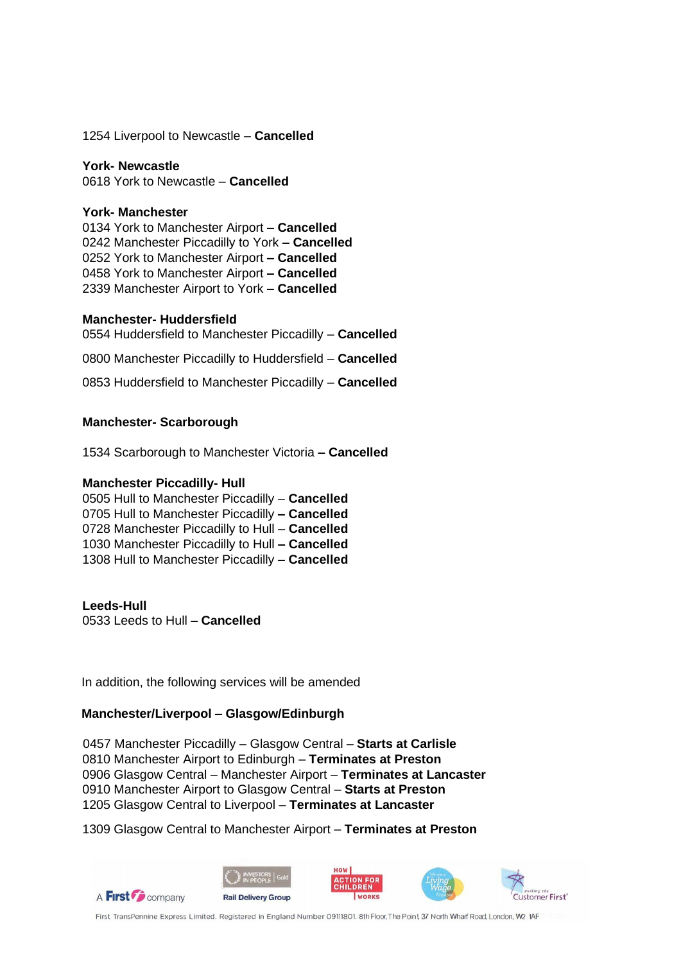1254 Liverpool to Newcastle – **Cancelled** 

#### **York- Newcastle**

0618 York to Newcastle – **Cancelled** 

#### **York- Manchester**

0134 York to Manchester Airport **– Cancelled**  0242 Manchester Piccadilly to York **– Cancelled** 0252 York to Manchester Airport **– Cancelled** 0458 York to Manchester Airport **– Cancelled** 2339 Manchester Airport to York **– Cancelled** 

## **Manchester- Huddersfield**

0554 Huddersfield to Manchester Piccadilly – **Cancelled** 

0800 Manchester Piccadilly to Huddersfield – **Cancelled** 

0853 Huddersfield to Manchester Piccadilly – **Cancelled** 

## **Manchester- Scarborough**

1534 Scarborough to Manchester Victoria **– Cancelled**

#### **Manchester Piccadilly- Hull**

0505 Hull to Manchester Piccadilly – **Cancelled**  0705 Hull to Manchester Piccadilly **– Cancelled**  0728 Manchester Piccadilly to Hull – **Cancelled**  1030 Manchester Piccadilly to Hull **– Cancelled**  1308 Hull to Manchester Piccadilly **– Cancelled** 

#### **Leeds-Hull**

0533 Leeds to Hull **– Cancelled** 

In addition, the following services will be amended

## **Manchester/Liverpool – Glasgow/Edinburgh**

0457 Manchester Piccadilly – Glasgow Central – **Starts at Carlisle** 0810 Manchester Airport to Edinburgh – **Terminates at Preston** 0906 Glasgow Central – Manchester Airport – **Terminates at Lancaster** 0910 Manchester Airport to Glasgow Central – **Starts at Preston** 1205 Glasgow Central to Liverpool – **Terminates at Lancaster**

1309 Glasgow Central to Manchester Airport – **Terminates at Preston**